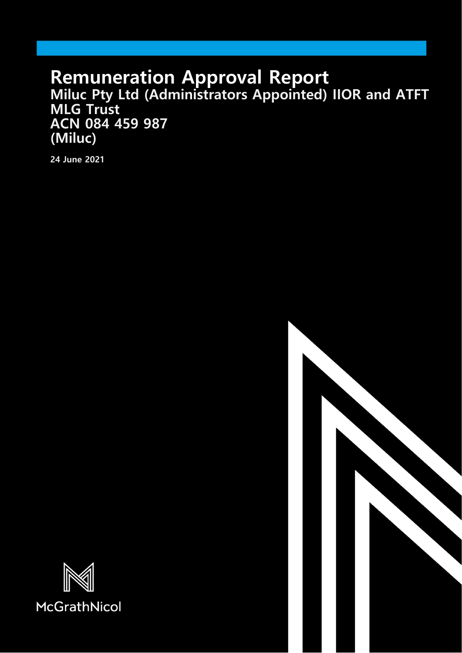# **Remuneration Approval Report Miluc Pty Ltd (Administrators Appointed) IIOR and ATFT MLG Trust ACN 084 459 987 (Miluc)**

**24 June 2021**



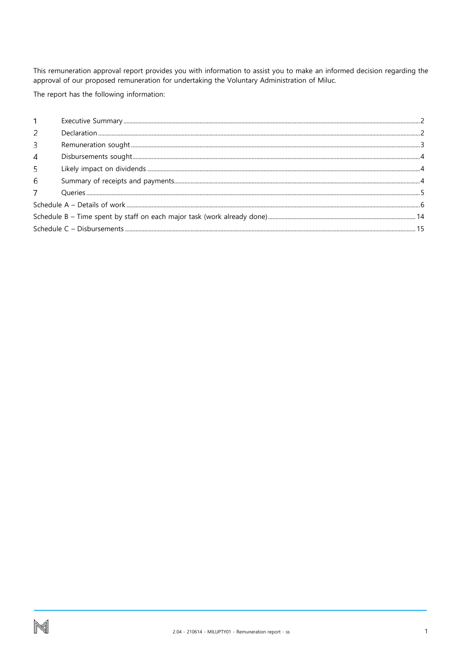This remuneration approval report provides you with information to assist you to make an informed decision regarding the approval of our proposed remuneration for undertaking the Voluntary Administration of Miluc.

The report has the following information:

| $\mathcal{P}$ |  |
|---------------|--|
| 3             |  |
| 4             |  |
| 5             |  |
| 6             |  |
|               |  |
|               |  |
|               |  |
|               |  |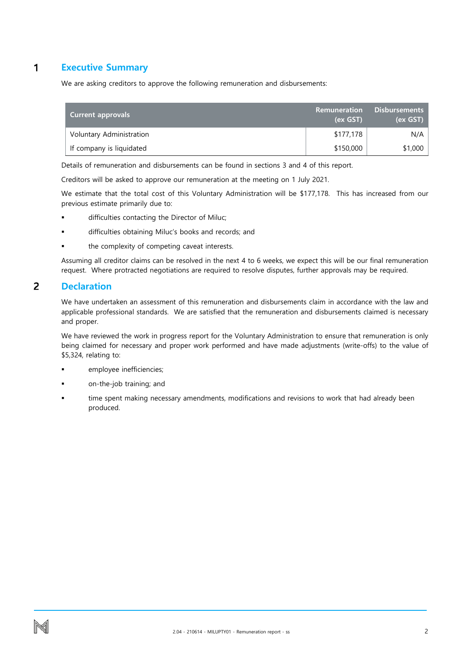#### <span id="page-2-0"></span> $\mathbf{1}$ **Executive Summary**

We are asking creditors to approve the following remuneration and disbursements:

| <b>Current approvals</b> | Remuneration<br>(ex GST) | <b>Disbursements</b><br>(ex GST) |
|--------------------------|--------------------------|----------------------------------|
| Voluntary Administration | \$177,178                | N/A                              |
| If company is liquidated | \$150,000                | \$1,000                          |

Details of remuneration and disbursements can be found in sections 3 and 4 of this report.

Creditors will be asked to approve our remuneration at the meeting on 1 July 2021.

We estimate that the total cost of this Voluntary Administration will be \$177,178. This has increased from our previous estimate primarily due to:

- difficulties contacting the Director of Miluc;
- difficulties obtaining Miluc's books and records; and
- the complexity of competing caveat interests.

Assuming all creditor claims can be resolved in the next 4 to 6 weeks, we expect this will be our final remuneration request. Where protracted negotiations are required to resolve disputes, further approvals may be required.

#### <span id="page-2-1"></span> $\overline{2}$ **Declaration**

We have undertaken an assessment of this remuneration and disbursements claim in accordance with the law and applicable professional standards. We are satisfied that the remuneration and disbursements claimed is necessary and proper.

We have reviewed the work in progress report for the Voluntary Administration to ensure that remuneration is only being claimed for necessary and proper work performed and have made adjustments (write-offs) to the value of \$5,324, relating to:

- employee inefficiencies;
- on-the-job training; and
- time spent making necessary amendments, modifications and revisions to work that had already been produced.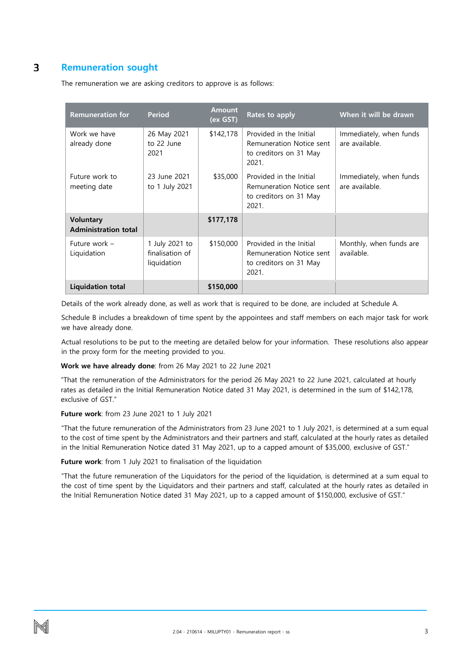#### <span id="page-3-0"></span>3 **Remuneration sought**

The remuneration we are asking creditors to approve is as follows:

| <b>Remuneration for</b>                         | <b>Period</b>                                    | <b>Amount</b><br>(ex GST) | Rates to apply                                                                         | When it will be drawn                     |
|-------------------------------------------------|--------------------------------------------------|---------------------------|----------------------------------------------------------------------------------------|-------------------------------------------|
| Work we have<br>already done                    | 26 May 2021<br>to 22 June<br>2021                | \$142,178                 | Provided in the Initial<br>Remuneration Notice sent<br>to creditors on 31 May<br>2021. | Immediately, when funds<br>are available. |
| Future work to<br>meeting date                  | 23 June 2021<br>to 1 July 2021                   | \$35,000                  | Provided in the Initial<br>Remuneration Notice sent<br>to creditors on 31 May<br>2021. | Immediately, when funds<br>are available. |
| <b>Voluntary</b><br><b>Administration total</b> |                                                  | \$177,178                 |                                                                                        |                                           |
| Future work -<br>Liquidation                    | 1 July 2021 to<br>finalisation of<br>liquidation | \$150,000                 | Provided in the Initial<br>Remuneration Notice sent<br>to creditors on 31 May<br>2021. | Monthly, when funds are<br>available.     |
| Liquidation total                               |                                                  | \$150,000                 |                                                                                        |                                           |

Details of the work already done, as well as work that is required to be done, are included at Schedule A.

Schedule B includes a breakdown of time spent by the appointees and staff members on each major task for work we have already done.

Actual resolutions to be put to the meeting are detailed below for your information. These resolutions also appear in the proxy form for the meeting provided to you.

**Work we have already done**: from 26 May 2021 to 22 June 2021

"That the remuneration of the Administrators for the period 26 May 2021 to 22 June 2021, calculated at hourly rates as detailed in the Initial Remuneration Notice dated 31 May 2021, is determined in the sum of \$142,178, exclusive of GST."

### **Future work**: from 23 June 2021 to 1 July 2021

"That the future remuneration of the Administrators from 23 June 2021 to 1 July 2021, is determined at a sum equal to the cost of time spent by the Administrators and their partners and staff, calculated at the hourly rates as detailed in the Initial Remuneration Notice dated 31 May 2021, up to a capped amount of \$35,000, exclusive of GST."

**Future work**: from 1 July 2021 to finalisation of the liquidation

"That the future remuneration of the Liquidators for the period of the liquidation, is determined at a sum equal to the cost of time spent by the Liquidators and their partners and staff, calculated at the hourly rates as detailed in the Initial Remuneration Notice dated 31 May 2021, up to a capped amount of \$150,000, exclusive of GST."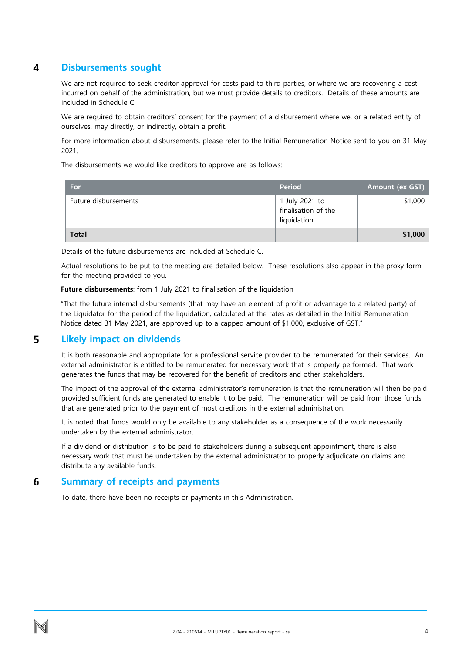#### <span id="page-4-0"></span>4 **Disbursements sought**

We are not required to seek creditor approval for costs paid to third parties, or where we are recovering a cost incurred on behalf of the administration, but we must provide details to creditors. Details of these amounts are included in Schedule C.

We are required to obtain creditors' consent for the payment of a disbursement where we, or a related entity of ourselves, may directly, or indirectly, obtain a profit.

For more information about disbursements, please refer to the Initial Remuneration Notice sent to you on 31 May 2021.

The disbursements we would like creditors to approve are as follows:

| For                  | <b>Period</b>                                        | <b>Amount (ex GST)</b> |
|----------------------|------------------------------------------------------|------------------------|
| Future disbursements | 1 July 2021 to<br>finalisation of the<br>liquidation | \$1,000                |
| <b>Total</b>         |                                                      | \$1,000                |

Details of the future disbursements are included at Schedule C.

Actual resolutions to be put to the meeting are detailed below. These resolutions also appear in the proxy form for the meeting provided to you.

**Future disbursements**: from 1 July 2021 to finalisation of the liquidation

"That the future internal disbursements (that may have an element of profit or advantage to a related party) of the Liquidator for the period of the liquidation, calculated at the rates as detailed in the Initial Remuneration Notice dated 31 May 2021, are approved up to a capped amount of \$1,000, exclusive of GST."

#### <span id="page-4-1"></span>5 **Likely impact on dividends**

It is both reasonable and appropriate for a professional service provider to be remunerated for their services. An external administrator is entitled to be remunerated for necessary work that is properly performed. That work generates the funds that may be recovered for the benefit of creditors and other stakeholders.

The impact of the approval of the external administrator's remuneration is that the remuneration will then be paid provided sufficient funds are generated to enable it to be paid. The remuneration will be paid from those funds that are generated prior to the payment of most creditors in the external administration.

It is noted that funds would only be available to any stakeholder as a consequence of the work necessarily undertaken by the external administrator.

If a dividend or distribution is to be paid to stakeholders during a subsequent appointment, there is also necessary work that must be undertaken by the external administrator to properly adjudicate on claims and distribute any available funds.

#### <span id="page-4-2"></span>6 **Summary of receipts and payments**

To date, there have been no receipts or payments in this Administration.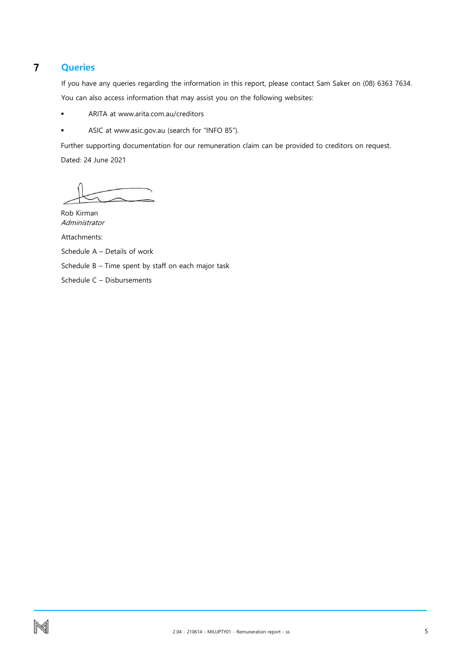#### <span id="page-5-0"></span> $\overline{7}$ **Queries**

If you have any queries regarding the information in this report, please contact Sam Saker on (08) 6363 7634. You can also access information that may assist you on the following websites:

- **ARITA at www.arita.com.au/creditors**
- ASIC at www.asic.gov.au (search for "INFO 85").

Further supporting documentation for our remuneration claim can be provided to creditors on request. Dated: 24 June 2021

Rob Kirman Administrator

Attachments:

Schedule A – Details of work

Schedule B – Time spent by staff on each major task

Schedule C – Disbursements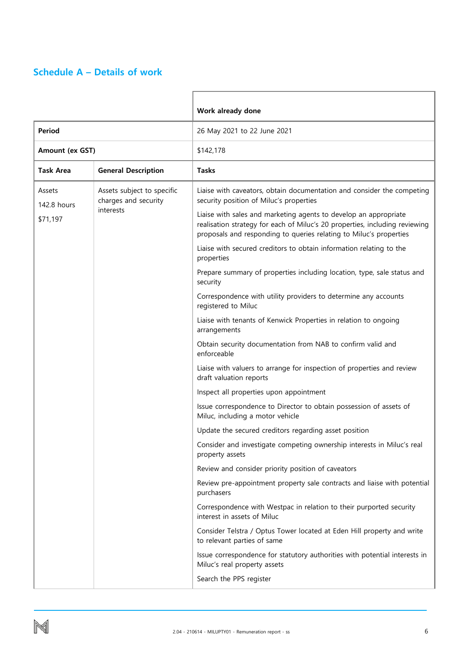## <span id="page-6-0"></span>**Schedule A – Details of work**

|                       |                                                    | Work already done                                                                                                                                                                                                     |
|-----------------------|----------------------------------------------------|-----------------------------------------------------------------------------------------------------------------------------------------------------------------------------------------------------------------------|
| <b>Period</b>         |                                                    | 26 May 2021 to 22 June 2021                                                                                                                                                                                           |
| Amount (ex GST)       |                                                    | \$142,178                                                                                                                                                                                                             |
| <b>Task Area</b>      | <b>General Description</b>                         | <b>Tasks</b>                                                                                                                                                                                                          |
| Assets<br>142.8 hours | Assets subject to specific<br>charges and security | Liaise with caveators, obtain documentation and consider the competing<br>security position of Miluc's properties                                                                                                     |
| \$71,197              | interests                                          | Liaise with sales and marketing agents to develop an appropriate<br>realisation strategy for each of Miluc's 20 properties, including reviewing<br>proposals and responding to queries relating to Miluc's properties |
|                       |                                                    | Liaise with secured creditors to obtain information relating to the<br>properties                                                                                                                                     |
|                       |                                                    | Prepare summary of properties including location, type, sale status and<br>security                                                                                                                                   |
|                       |                                                    | Correspondence with utility providers to determine any accounts<br>registered to Miluc                                                                                                                                |
|                       |                                                    | Liaise with tenants of Kenwick Properties in relation to ongoing<br>arrangements                                                                                                                                      |
|                       |                                                    | Obtain security documentation from NAB to confirm valid and<br>enforceable                                                                                                                                            |
|                       |                                                    | Liaise with valuers to arrange for inspection of properties and review<br>draft valuation reports                                                                                                                     |
|                       |                                                    | Inspect all properties upon appointment                                                                                                                                                                               |
|                       |                                                    | Issue correspondence to Director to obtain possession of assets of<br>Miluc, including a motor vehicle                                                                                                                |
|                       |                                                    | Update the secured creditors regarding asset position                                                                                                                                                                 |
|                       |                                                    | Consider and investigate competing ownership interests in Miluc's real<br>property assets                                                                                                                             |
|                       |                                                    | Review and consider priority position of caveators                                                                                                                                                                    |
|                       |                                                    | Review pre-appointment property sale contracts and liaise with potential<br>purchasers                                                                                                                                |
|                       |                                                    | Correspondence with Westpac in relation to their purported security<br>interest in assets of Miluc                                                                                                                    |
|                       |                                                    | Consider Telstra / Optus Tower located at Eden Hill property and write<br>to relevant parties of same                                                                                                                 |
|                       |                                                    | Issue correspondence for statutory authorities with potential interests in<br>Miluc's real property assets                                                                                                            |
|                       |                                                    | Search the PPS register                                                                                                                                                                                               |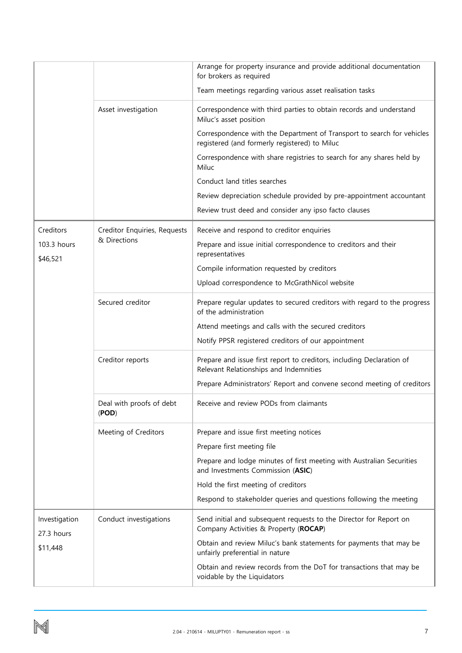|                             |                                   | Arrange for property insurance and provide additional documentation<br>for brokers as required                          |
|-----------------------------|-----------------------------------|-------------------------------------------------------------------------------------------------------------------------|
|                             |                                   | Team meetings regarding various asset realisation tasks                                                                 |
|                             | Asset investigation               | Correspondence with third parties to obtain records and understand<br>Miluc's asset position                            |
|                             |                                   | Correspondence with the Department of Transport to search for vehicles<br>registered (and formerly registered) to Miluc |
|                             |                                   | Correspondence with share registries to search for any shares held by<br>Miluc                                          |
|                             |                                   | Conduct land titles searches                                                                                            |
|                             |                                   | Review depreciation schedule provided by pre-appointment accountant                                                     |
|                             |                                   | Review trust deed and consider any ipso facto clauses                                                                   |
| Creditors                   | Creditor Enquiries, Requests      | Receive and respond to creditor enquiries                                                                               |
| 103.3 hours<br>\$46,521     | & Directions                      | Prepare and issue initial correspondence to creditors and their<br>representatives                                      |
|                             |                                   | Compile information requested by creditors                                                                              |
|                             |                                   | Upload correspondence to McGrathNicol website                                                                           |
|                             | Secured creditor                  | Prepare regular updates to secured creditors with regard to the progress<br>of the administration                       |
|                             |                                   | Attend meetings and calls with the secured creditors                                                                    |
|                             |                                   | Notify PPSR registered creditors of our appointment                                                                     |
|                             | Creditor reports                  | Prepare and issue first report to creditors, including Declaration of<br>Relevant Relationships and Indemnities         |
|                             |                                   | Prepare Administrators' Report and convene second meeting of creditors                                                  |
|                             | Deal with proofs of debt<br>(POD) | Receive and review PODs from claimants                                                                                  |
|                             | Meeting of Creditors              | Prepare and issue first meeting notices                                                                                 |
|                             |                                   | Prepare first meeting file                                                                                              |
|                             |                                   | Prepare and lodge minutes of first meeting with Australian Securities<br>and Investments Commission (ASIC)              |
|                             |                                   | Hold the first meeting of creditors                                                                                     |
|                             |                                   | Respond to stakeholder queries and questions following the meeting                                                      |
| Investigation<br>27.3 hours | Conduct investigations            | Send initial and subsequent requests to the Director for Report on<br>Company Activities & Property (ROCAP)             |
| \$11,448                    |                                   | Obtain and review Miluc's bank statements for payments that may be<br>unfairly preferential in nature                   |
|                             |                                   | Obtain and review records from the DoT for transactions that may be<br>voidable by the Liquidators                      |

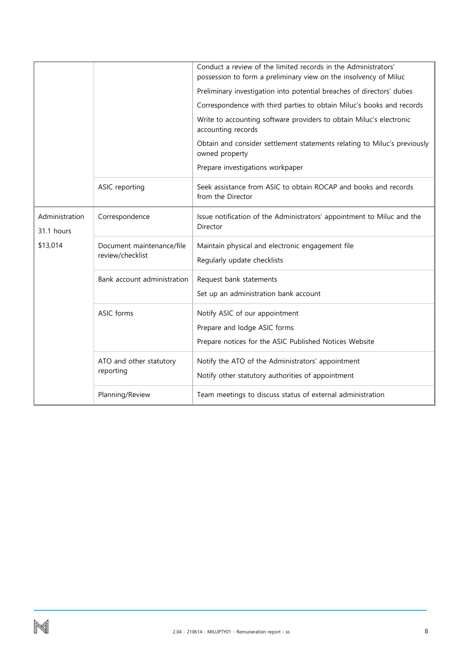|                              |                                               | Conduct a review of the limited records in the Administrators'<br>possession to form a preliminary view on the insolvency of Miluc |
|------------------------------|-----------------------------------------------|------------------------------------------------------------------------------------------------------------------------------------|
|                              |                                               | Preliminary investigation into potential breaches of directors' duties                                                             |
|                              |                                               | Correspondence with third parties to obtain Miluc's books and records                                                              |
|                              |                                               | Write to accounting software providers to obtain Miluc's electronic<br>accounting records                                          |
|                              |                                               | Obtain and consider settlement statements relating to Miluc's previously<br>owned property                                         |
|                              |                                               | Prepare investigations workpaper                                                                                                   |
|                              | ASIC reporting                                | Seek assistance from ASIC to obtain ROCAP and books and records<br>from the Director                                               |
| Administration<br>31.1 hours | Correspondence                                | Issue notification of the Administrators' appointment to Miluc and the<br>Director                                                 |
| \$13,014                     | Document maintenance/file<br>review/checklist | Maintain physical and electronic engagement file<br>Regularly update checklists                                                    |
|                              | Bank account administration                   | Request bank statements                                                                                                            |
|                              |                                               | Set up an administration bank account                                                                                              |
|                              | ASIC forms                                    | Notify ASIC of our appointment<br>Prepare and lodge ASIC forms                                                                     |
|                              |                                               | Prepare notices for the ASIC Published Notices Website                                                                             |
|                              | ATO and other statutory                       | Notify the ATO of the Administrators' appointment                                                                                  |
|                              | reporting                                     | Notify other statutory authorities of appointment                                                                                  |
|                              | Planning/Review                               | Team meetings to discuss status of external administration                                                                         |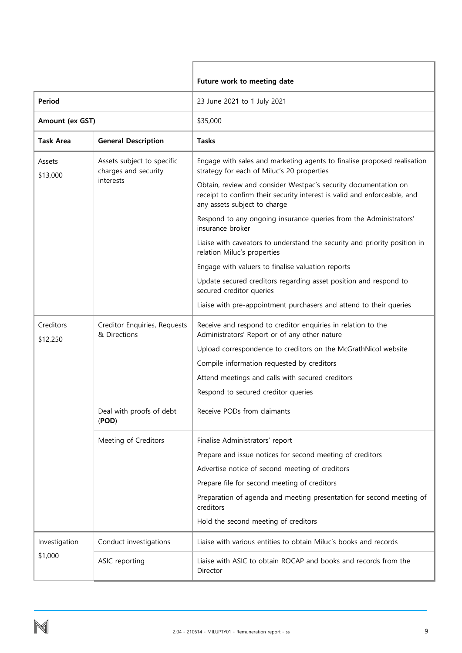|                       |                                                    | Future work to meeting date                                                                                                                                                 |
|-----------------------|----------------------------------------------------|-----------------------------------------------------------------------------------------------------------------------------------------------------------------------------|
| Period                |                                                    | 23 June 2021 to 1 July 2021                                                                                                                                                 |
| Amount (ex GST)       |                                                    | \$35,000                                                                                                                                                                    |
| <b>Task Area</b>      | <b>General Description</b>                         | <b>Tasks</b>                                                                                                                                                                |
| Assets<br>\$13,000    | Assets subject to specific<br>charges and security | Engage with sales and marketing agents to finalise proposed realisation<br>strategy for each of Miluc's 20 properties                                                       |
|                       | interests                                          | Obtain, review and consider Westpac's security documentation on<br>receipt to confirm their security interest is valid and enforceable, and<br>any assets subject to charge |
|                       |                                                    | Respond to any ongoing insurance queries from the Administrators'<br>insurance broker                                                                                       |
|                       |                                                    | Liaise with caveators to understand the security and priority position in<br>relation Miluc's properties                                                                    |
|                       |                                                    | Engage with valuers to finalise valuation reports                                                                                                                           |
|                       |                                                    | Update secured creditors regarding asset position and respond to<br>secured creditor queries                                                                                |
|                       |                                                    | Liaise with pre-appointment purchasers and attend to their queries                                                                                                          |
| Creditors<br>\$12,250 | Creditor Enquiries, Requests<br>& Directions       | Receive and respond to creditor enquiries in relation to the<br>Administrators' Report or of any other nature                                                               |
|                       |                                                    | Upload correspondence to creditors on the McGrathNicol website                                                                                                              |
|                       |                                                    | Compile information requested by creditors                                                                                                                                  |
|                       |                                                    | Attend meetings and calls with secured creditors                                                                                                                            |
|                       |                                                    | Respond to secured creditor queries                                                                                                                                         |
|                       | Deal with proofs of debt<br>(POD)                  | Receive PODs from claimants                                                                                                                                                 |
|                       | Meeting of Creditors                               | Finalise Administrators' report                                                                                                                                             |
|                       |                                                    | Prepare and issue notices for second meeting of creditors                                                                                                                   |
|                       |                                                    | Advertise notice of second meeting of creditors                                                                                                                             |
|                       |                                                    | Prepare file for second meeting of creditors                                                                                                                                |
|                       |                                                    | Preparation of agenda and meeting presentation for second meeting of<br>creditors                                                                                           |
|                       |                                                    | Hold the second meeting of creditors                                                                                                                                        |
| Investigation         | Conduct investigations                             | Liaise with various entities to obtain Miluc's books and records                                                                                                            |
| \$1,000               | ASIC reporting                                     | Liaise with ASIC to obtain ROCAP and books and records from the<br>Director                                                                                                 |

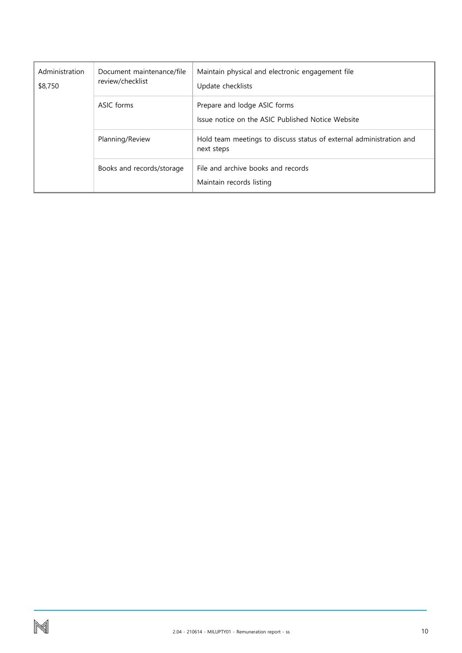| Administration<br>\$8,750 | Document maintenance/file<br>review/checklist | Maintain physical and electronic engagement file<br>Update checklists             |
|---------------------------|-----------------------------------------------|-----------------------------------------------------------------------------------|
|                           | ASIC forms                                    | Prepare and lodge ASIC forms<br>Issue notice on the ASIC Published Notice Website |
|                           | Planning/Review                               | Hold team meetings to discuss status of external administration and<br>next steps |
|                           | Books and records/storage                     | File and archive books and records<br>Maintain records listing                    |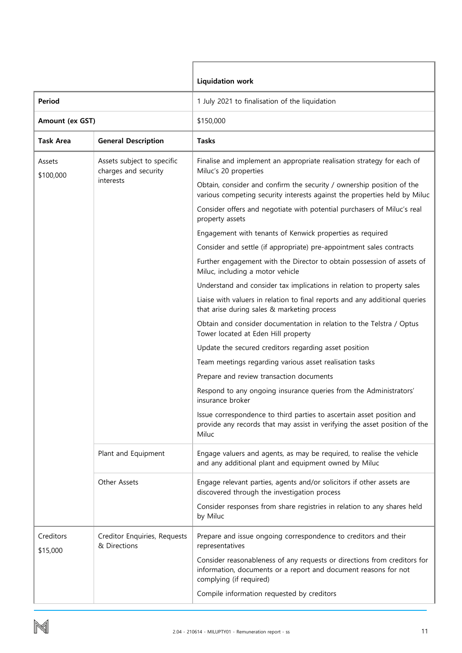|                       |                                                    | <b>Liquidation work</b>                                                                                                                                                |
|-----------------------|----------------------------------------------------|------------------------------------------------------------------------------------------------------------------------------------------------------------------------|
| Period                |                                                    | 1 July 2021 to finalisation of the liquidation                                                                                                                         |
| Amount (ex GST)       |                                                    | \$150,000                                                                                                                                                              |
| Task Area             | <b>General Description</b>                         | <b>Tasks</b>                                                                                                                                                           |
| Assets<br>\$100,000   | Assets subject to specific<br>charges and security | Finalise and implement an appropriate realisation strategy for each of<br>Miluc's 20 properties                                                                        |
|                       | interests                                          | Obtain, consider and confirm the security / ownership position of the<br>various competing security interests against the properties held by Miluc                     |
|                       |                                                    | Consider offers and negotiate with potential purchasers of Miluc's real<br>property assets                                                                             |
|                       |                                                    | Engagement with tenants of Kenwick properties as required                                                                                                              |
|                       |                                                    | Consider and settle (if appropriate) pre-appointment sales contracts                                                                                                   |
|                       |                                                    | Further engagement with the Director to obtain possession of assets of<br>Miluc, including a motor vehicle                                                             |
|                       |                                                    | Understand and consider tax implications in relation to property sales                                                                                                 |
|                       |                                                    | Liaise with valuers in relation to final reports and any additional queries<br>that arise during sales & marketing process                                             |
|                       |                                                    | Obtain and consider documentation in relation to the Telstra / Optus<br>Tower located at Eden Hill property                                                            |
|                       |                                                    | Update the secured creditors regarding asset position                                                                                                                  |
|                       |                                                    | Team meetings regarding various asset realisation tasks                                                                                                                |
|                       |                                                    | Prepare and review transaction documents                                                                                                                               |
|                       |                                                    | Respond to any ongoing insurance queries from the Administrators'<br>insurance broker                                                                                  |
|                       |                                                    | Issue correspondence to third parties to ascertain asset position and<br>provide any records that may assist in verifying the asset position of the<br>Miluc           |
|                       | Plant and Equipment                                | Engage valuers and agents, as may be required, to realise the vehicle<br>and any additional plant and equipment owned by Miluc                                         |
|                       | Other Assets                                       | Engage relevant parties, agents and/or solicitors if other assets are<br>discovered through the investigation process                                                  |
|                       |                                                    | Consider responses from share registries in relation to any shares held<br>by Miluc                                                                                    |
| Creditors<br>\$15,000 | Creditor Enquiries, Requests<br>& Directions       | Prepare and issue ongoing correspondence to creditors and their<br>representatives                                                                                     |
|                       |                                                    | Consider reasonableness of any requests or directions from creditors for<br>information, documents or a report and document reasons for not<br>complying (if required) |
|                       |                                                    | Compile information requested by creditors                                                                                                                             |

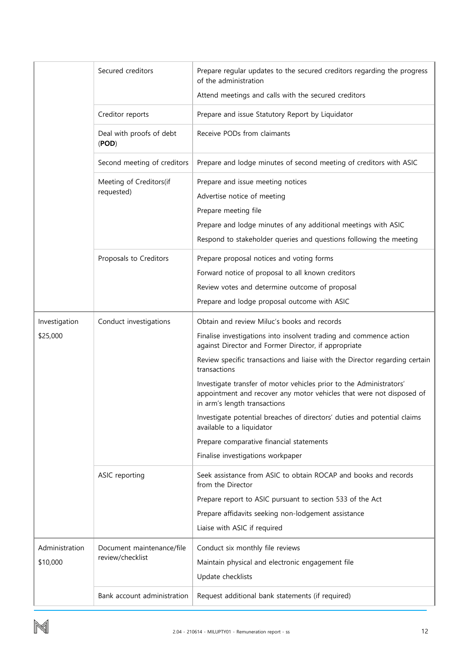|                | Secured creditors                     | Prepare regular updates to the secured creditors regarding the progress<br>of the administration                                                                                                                                 |
|----------------|---------------------------------------|----------------------------------------------------------------------------------------------------------------------------------------------------------------------------------------------------------------------------------|
|                |                                       | Attend meetings and calls with the secured creditors                                                                                                                                                                             |
|                | Creditor reports                      | Prepare and issue Statutory Report by Liquidator                                                                                                                                                                                 |
|                | Deal with proofs of debt<br>(POD)     | Receive PODs from claimants                                                                                                                                                                                                      |
|                | Second meeting of creditors           | Prepare and lodge minutes of second meeting of creditors with ASIC                                                                                                                                                               |
|                | Meeting of Creditors(if<br>requested) | Prepare and issue meeting notices<br>Advertise notice of meeting<br>Prepare meeting file<br>Prepare and lodge minutes of any additional meetings with ASIC<br>Respond to stakeholder queries and questions following the meeting |
|                | Proposals to Creditors                | Prepare proposal notices and voting forms                                                                                                                                                                                        |
|                |                                       | Forward notice of proposal to all known creditors                                                                                                                                                                                |
|                |                                       | Review votes and determine outcome of proposal                                                                                                                                                                                   |
|                |                                       | Prepare and lodge proposal outcome with ASIC                                                                                                                                                                                     |
| Investigation  | Conduct investigations                | Obtain and review Miluc's books and records                                                                                                                                                                                      |
| \$25,000       |                                       | Finalise investigations into insolvent trading and commence action<br>against Director and Former Director, if appropriate                                                                                                       |
|                |                                       | Review specific transactions and liaise with the Director regarding certain<br>transactions                                                                                                                                      |
|                |                                       | Investigate transfer of motor vehicles prior to the Administrators'<br>appointment and recover any motor vehicles that were not disposed of<br>in arm's length transactions                                                      |
|                |                                       | Investigate potential breaches of directors' duties and potential claims<br>available to a liquidator                                                                                                                            |
|                |                                       | Prepare comparative financial statements                                                                                                                                                                                         |
|                |                                       | Finalise investigations workpaper                                                                                                                                                                                                |
|                | ASIC reporting                        | Seek assistance from ASIC to obtain ROCAP and books and records<br>from the Director                                                                                                                                             |
|                |                                       | Prepare report to ASIC pursuant to section 533 of the Act                                                                                                                                                                        |
|                |                                       | Prepare affidavits seeking non-lodgement assistance                                                                                                                                                                              |
|                |                                       | Liaise with ASIC if required                                                                                                                                                                                                     |
| Administration | Document maintenance/file             | Conduct six monthly file reviews                                                                                                                                                                                                 |
| \$10,000       | review/checklist                      | Maintain physical and electronic engagement file                                                                                                                                                                                 |
|                |                                       | Update checklists                                                                                                                                                                                                                |
|                | Bank account administration           | Request additional bank statements (if required)                                                                                                                                                                                 |

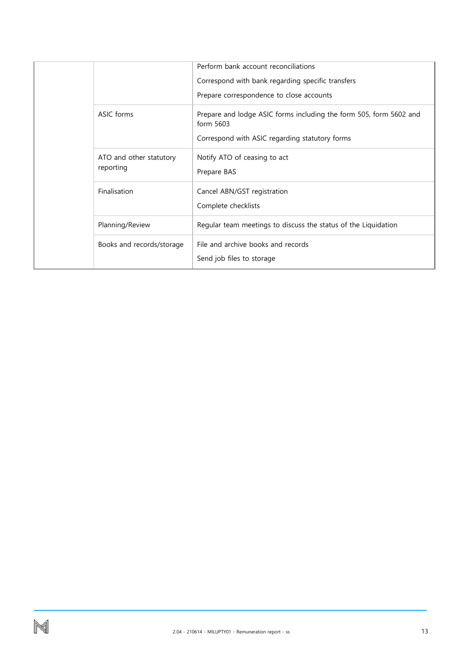|                                      |                                                                 | Perform bank account reconciliations<br>Correspond with bank regarding specific transfers<br>Prepare correspondence to close accounts |
|--------------------------------------|-----------------------------------------------------------------|---------------------------------------------------------------------------------------------------------------------------------------|
| ASIC forms                           | form 5603                                                       | Prepare and lodge ASIC forms including the form 505, form 5602 and<br>Correspond with ASIC regarding statutory forms                  |
| ATO and other statutory<br>reporting | Notify ATO of ceasing to act<br>Prepare BAS                     |                                                                                                                                       |
| Finalisation                         | Cancel ABN/GST registration<br>Complete checklists              |                                                                                                                                       |
| Planning/Review                      |                                                                 | Regular team meetings to discuss the status of the Liquidation                                                                        |
| Books and records/storage            | File and archive books and records<br>Send job files to storage |                                                                                                                                       |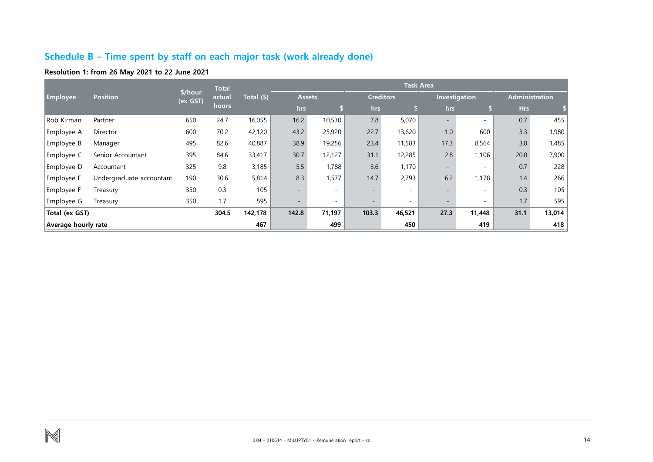## **Schedule B – Time spent by staff on each major task (work already done)**

## **Resolution 1: from 26 May 2021 to 22 June 2021**

<span id="page-14-0"></span>

|                            | <b>Position</b>          | \$/hour<br>(ex GST) | <b>Total</b><br>actual<br>hours |            | <b>Task Area</b>         |                          |                  |                          |                          |                          |                       |       |
|----------------------------|--------------------------|---------------------|---------------------------------|------------|--------------------------|--------------------------|------------------|--------------------------|--------------------------|--------------------------|-----------------------|-------|
| <b>Employee</b>            |                          |                     |                                 | Total (\$) | <b>Assets</b>            |                          | <b>Creditors</b> |                          | Investigation            |                          | <b>Administration</b> |       |
|                            |                          |                     |                                 |            | hrs                      | Þ                        | hrs              |                          | hrs                      | S                        | Hrs                   |       |
| Rob Kirman                 | Partner                  | 650                 | 24.7                            | 16,055     | 16.2                     | 10,530                   | 7.8              | 5,070                    |                          | $\sim$                   | 0.7                   | 455   |
| Employee A                 | Director                 | 600                 | 70.2                            | 42,120     | 43.2                     | 25,920                   | 22.7             | 13,620                   | 1.0                      | 600                      | 3.3                   | 1,980 |
| Employee B                 | Manager                  | 495                 | 82.6                            | 40,887     | 38.9                     | 19,256                   | 23.4             | 11,583                   | 17.3                     | 8,564                    | 3.0                   | 1,485 |
| Employee C                 | Senior Accountant        | 395                 | 84.6                            | 33,417     | 30.7                     | 12,127                   | 31.1             | 12,285                   | 2.8                      | 1,106                    | 20.0                  | 7,900 |
| Employee D                 | Accountant               | 325                 | 9.8                             | 3,185      | 5.5                      | 1,788                    | 3.6              | 1,170                    | $\sim$                   | $\overline{\phantom{a}}$ | 0.7                   | 228   |
| Employee E                 | Undergraduate accountant | 190                 | 30.6                            | 5,814      | 8.3                      | 1,577                    | 14.7             | 2,793                    | 6.2                      | 1,178                    | 1.4                   | 266   |
| Employee F                 | Treasury                 | 350                 | 0.3                             | 105        | $\overline{\phantom{0}}$ | $\overline{a}$           |                  | $\sim$                   | $\overline{\phantom{a}}$ | $\overline{\phantom{0}}$ | 0.3                   | 105   |
| Employee G                 | Treasury                 | 350                 | 1.7                             | 595        | $\overline{\phantom{a}}$ | $\overline{\phantom{0}}$ |                  | $\overline{\phantom{a}}$ | $\overline{\phantom{a}}$ |                          | 1.7                   | 595   |
| 304.5<br>Total (ex GST)    |                          |                     | 142,178                         | 142.8      | 71,197                   | 103.3                    | 46,521           | 27.3                     | 11,448                   | 31.1                     | 13,014                |       |
| 467<br>Average hourly rate |                          |                     |                                 |            | 499                      |                          | 450              |                          | 419                      |                          | 418                   |       |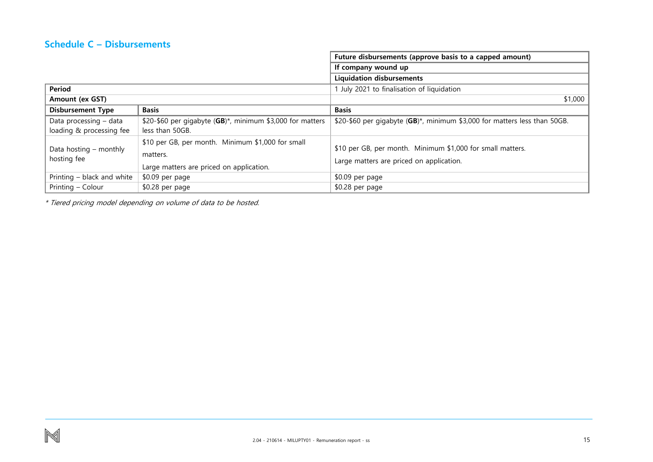## **Schedule C – Disbursements**

|                                       |                                                                                                           | Future disbursements (approve basis to a capped amount)                                                |  |  |  |  |
|---------------------------------------|-----------------------------------------------------------------------------------------------------------|--------------------------------------------------------------------------------------------------------|--|--|--|--|
|                                       |                                                                                                           | If company wound up                                                                                    |  |  |  |  |
|                                       |                                                                                                           | <b>Liquidation disbursements</b>                                                                       |  |  |  |  |
| Period                                |                                                                                                           | 1 July 2021 to finalisation of liquidation                                                             |  |  |  |  |
| Amount (ex GST)                       |                                                                                                           | \$1,000                                                                                                |  |  |  |  |
| <b>Disbursement Type</b>              | <b>Basis</b>                                                                                              | <b>Basis</b>                                                                                           |  |  |  |  |
| Data processing - data                | \$20-\$60 per gigabyte (GB)*, minimum \$3,000 for matters                                                 | \$20-\$60 per gigabyte (GB)*, minimum \$3,000 for matters less than 50GB.                              |  |  |  |  |
| loading & processing fee              | less than 50GB.                                                                                           |                                                                                                        |  |  |  |  |
| Data hosting – monthly<br>hosting fee | \$10 per GB, per month. Minimum \$1,000 for small<br>matters.<br>Large matters are priced on application. | \$10 per GB, per month. Minimum \$1,000 for small matters.<br>Large matters are priced on application. |  |  |  |  |
| Printing - black and white            | \$0.09 per page                                                                                           | \$0.09 per page                                                                                        |  |  |  |  |
| Printing - Colour                     | \$0.28 per page                                                                                           | \$0.28 per page                                                                                        |  |  |  |  |

<span id="page-15-0"></span>\* Tiered pricing model depending on volume of data to be hosted.